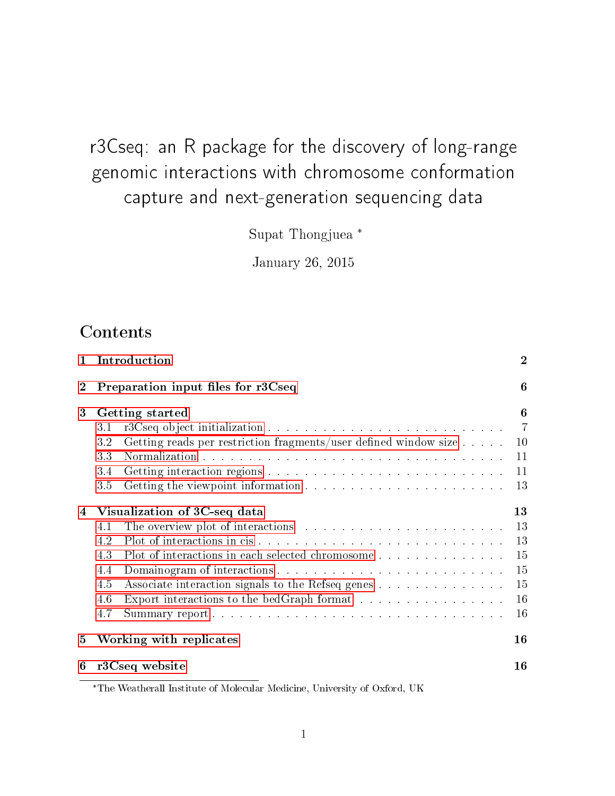# r3Cseq: an R package for the discovery of long-range genomic interactions with chromosome conformation capture and next-generation sequencing data

Supat Thongjuea \*

January 26, 2015

# Contents

|     |                                                                            | $\overline{2}$                                                                                                                                            |
|-----|----------------------------------------------------------------------------|-----------------------------------------------------------------------------------------------------------------------------------------------------------|
|     |                                                                            | 6                                                                                                                                                         |
|     |                                                                            | 6                                                                                                                                                         |
| 3.1 |                                                                            | -7                                                                                                                                                        |
| 3.2 | Getting reads per restriction fragments/user defined window size $\dots$ . | 10                                                                                                                                                        |
| 3.3 |                                                                            | 11                                                                                                                                                        |
| 3.4 |                                                                            | 11                                                                                                                                                        |
| 3.5 |                                                                            | 13                                                                                                                                                        |
|     |                                                                            | 13                                                                                                                                                        |
| 4.1 |                                                                            | 13                                                                                                                                                        |
| 4.2 |                                                                            | 13                                                                                                                                                        |
| 4.3 | Plot of interactions in each selected chromosome                           | 15                                                                                                                                                        |
| 4.4 |                                                                            | 15                                                                                                                                                        |
| 4.5 | Associate interaction signals to the Refseq genes                          | 15                                                                                                                                                        |
| 4.6 | Export interactions to the bedGraph format                                 | 16                                                                                                                                                        |
| 4.7 |                                                                            | 16                                                                                                                                                        |
|     |                                                                            | 16                                                                                                                                                        |
|     |                                                                            | 16                                                                                                                                                        |
|     |                                                                            | Introduction<br>Preparation input files for r3Cseq<br><b>Getting started</b><br>Visualization of 3C-seq data<br>Working with replicates<br>r3Cseq website |

\*The Weatherall Institute of Molecular Medicine, University of Oxford, UK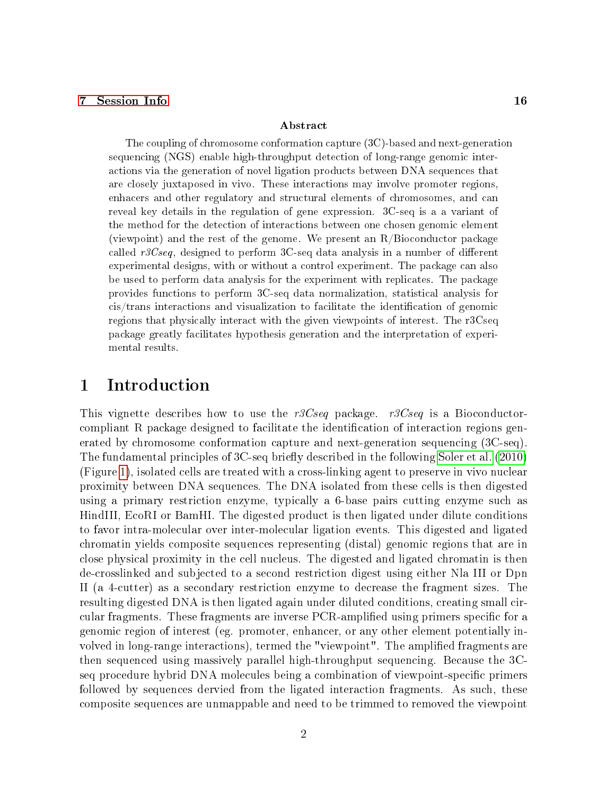#### [7 Session Info](#page-15-4) 16

#### Abstract

The coupling of chromosome conformation capture (3C)-based and next-generation sequencing (NGS) enable high-throughput detection of long-range genomic interactions via the generation of novel ligation products between DNA sequences that are closely juxtaposed in vivo. These interactions may involve promoter regions, enhacers and other regulatory and structural elements of chromosomes, and can reveal key details in the regulation of gene expression. 3C-seq is a a variant of the method for the detection of interactions between one chosen genomic element (viewpoint) and the rest of the genome. We present an R/Bioconductor package called  $r3Cseq$ , designed to perform 3C-seq data analysis in a number of different experimental designs, with or without a control experiment. The package can also be used to perform data analysis for the experiment with replicates. The package provides functions to perform 3C-seq data normalization, statistical analysis for cis/trans interactions and visualization to facilitate the identification of genomic regions that physically interact with the given viewpoints of interest. The r3Cseq package greatly facilitates hypothesis generation and the interpretation of experimental results.

# <span id="page-1-0"></span>1 Introduction

This vignette describes how to use the r3Cseq package. r3Cseq is a Bioconductorcompliant R package designed to facilitate the identification of interaction regions generated by chromosome conformation capture and next-generation sequencing (3C-seq). The fundamental principles of 3C-seq briefly described in the following [Soler et al.](#page-17-0) [\(2010\)](#page-17-0) (Figure [1\)](#page-2-0), isolated cells are treated with a cross-linking agent to preserve in vivo nuclear proximity between DNA sequences. The DNA isolated from these cells is then digested using a primary restriction enzyme, typically a 6-base pairs cutting enzyme such as HindIII, EcoRI or BamHI. The digested product is then ligated under dilute conditions to favor intra-molecular over inter-molecular ligation events. This digested and ligated chromatin yields composite sequences representing (distal) genomic regions that are in close physical proximity in the cell nucleus. The digested and ligated chromatin is then de-crosslinked and subjected to a second restriction digest using either Nla III or Dpn II (a 4-cutter) as a secondary restriction enzyme to decrease the fragment sizes. The resulting digested DNA is then ligated again under diluted conditions, creating small circular fragments. These fragments are inverse PCR-amplified using primers specific for a genomic region of interest (eg. promoter, enhancer, or any other element potentially involved in long-range interactions), termed the "viewpoint". The amplified fragments are then sequenced using massively parallel high-throughput sequencing. Because the 3Cseq procedure hybrid DNA molecules being a combination of viewpoint-specific primers followed by sequences dervied from the ligated interaction fragments. As such, these composite sequences are unmappable and need to be trimmed to removed the viewpoint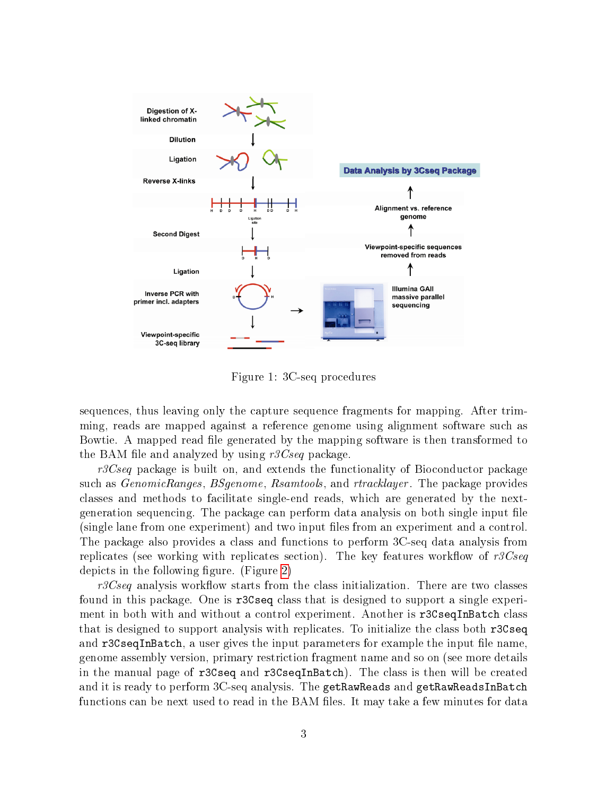

<span id="page-2-0"></span>Figure 1: 3C-seq procedures

sequences, thus leaving only the capture sequence fragments for mapping. After trimming, reads are mapped against a reference genome using alignment software such as Bowtie. A mapped read file generated by the mapping software is then transformed to the BAM file and analyzed by using  $r3Cseq$  package.

 $r3Cseq$  package is built on, and extends the functionality of Bioconductor package such as *GenomicRanges, BSgenome, Rsamtools, and rtracklayer*. The package provides classes and methods to facilitate single-end reads, which are generated by the nextgeneration sequencing. The package can perform data analysis on both single input file (single lane from one experiment) and two input files from an experiment and a control. The package also provides a class and functions to perform 3C-seq data analysis from replicates (see working with replicates section). The key features workflow of  $r3Cseq$ depicts in the following figure. (Figure  $2$ )

 $r3Cseq$  analysis workflow starts from the class initialization. There are two classes found in this package. One is  $r3Cseq$  class that is designed to support a single experiment in both with and without a control experiment. Another is r3CseqInBatch class that is designed to support analysis with replicates. To initialize the class both r3Cseq and  $r3C \text{seqInBatch}$ , a user gives the input parameters for example the input file name. genome assembly version, primary restriction fragment name and so on (see more details in the manual page of r3Cseq and r3CseqInBatch). The class is then will be created and it is ready to perform 3C-seq analysis. The getRawReads and getRawReadsInBatch functions can be next used to read in the BAM files. It may take a few minutes for data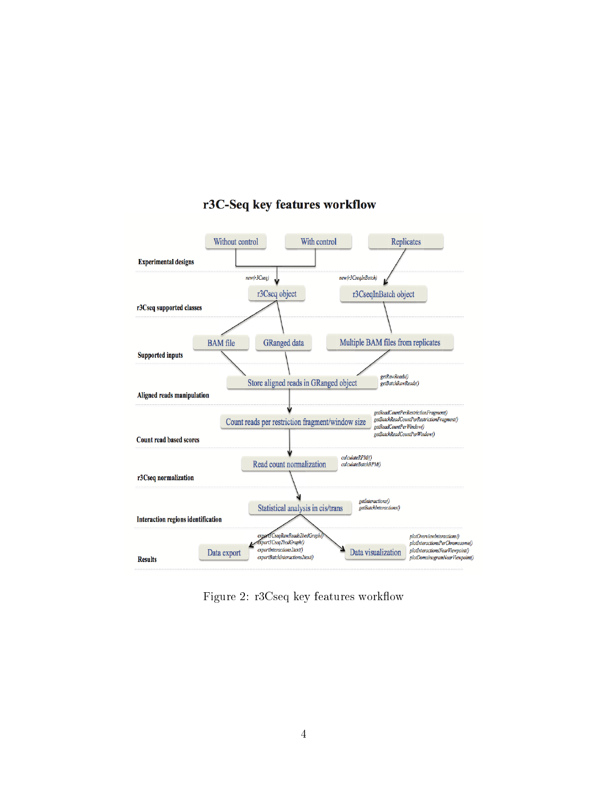

### r3C-Seq key features workflow

<span id="page-3-0"></span>Figure 2: r3Cseq key features workflow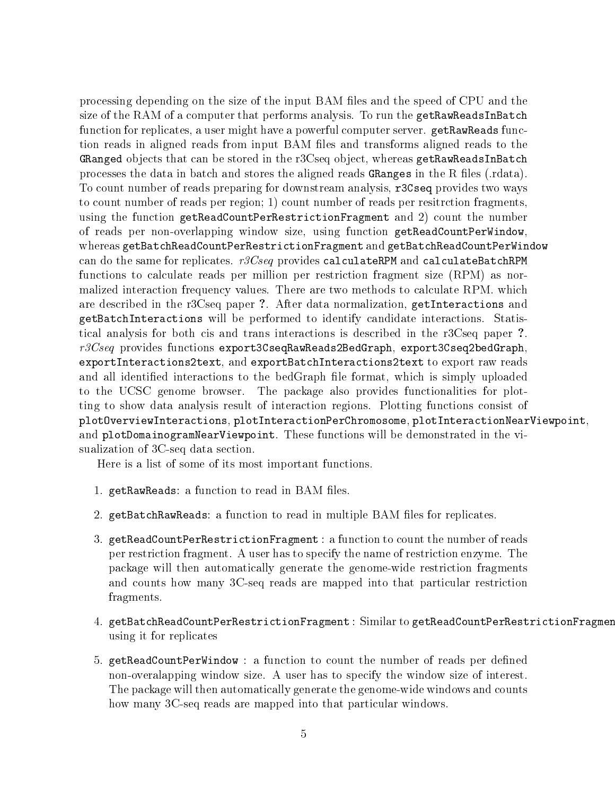processing depending on the size of the input BAM files and the speed of CPU and the size of the RAM of a computer that performs analysis. To run the getRawReadsInBatch function for replicates, a user might have a powerful computer server. getRawReads function reads in aligned reads from input BAM files and transforms aligned reads to the GRanged objects that can be stored in the r3Cseq object, whereas getRawReadsInBatch processes the data in batch and stores the aligned reads GRanges in the R files (rdata). To count number of reads preparing for downstream analysis, r3Cseq provides two ways to count number of reads per region; 1) count number of reads per resitrction fragments, using the function getReadCountPerRestrictionFragment and 2) count the number of reads per non-overlapping window size, using function getReadCountPerWindow, whereas getBatchReadCountPerRestrictionFragment and getBatchReadCountPerWindow can do the same for replicates.  $r3Cseq$  provides calculateRPM and calculateBatchRPM functions to calculate reads per million per restriction fragment size (RPM) as normalized interaction frequency values. There are two methods to calculate RPM. which are described in the r3Cseq paper ?. After data normalization, getInteractions and getBatchInteractions will be performed to identify candidate interactions. Statistical analysis for both cis and trans interactions is described in the r3Cseq paper ?.  $r3Cseq$  provides functions export3CseqRawReads2BedGraph, export3Cseq2bedGraph, exportInteractions2text, and exportBatchInteractions2text to export raw reads and all identified interactions to the bedGraph file format, which is simply uploaded to the UCSC genome browser. The package also provides functionalities for plotting to show data analysis result of interaction regions. Plotting functions consist of plotOverviewInteractions, plotInteractionPerChromosome, plotInteractionNearViewpoint, and plotDomainogramNearViewpoint. These functions will be demonstrated in the visualization of 3C-seq data section.

Here is a list of some of its most important functions.

- 1. getRawReads: a function to read in BAM files.
- 2. getBatchRawReads: a function to read in multiple BAM files for replicates.
- 3. getReadCountPerRestrictionFragment : a function to count the number of reads per restriction fragment. A user has to specify the name of restriction enzyme. The package will then automatically generate the genome-wide restriction fragments and counts how many 3C-seq reads are mapped into that particular restriction fragments.
- 4. getBatchReadCountPerRestrictionFragment : Similar to getReadCountPerRestrictionFragment using it for replicates
- 5. getReadCountPerWindow : a function to count the number of reads per defined non-overalapping window size. A user has to specify the window size of interest. The package will then automatically generate the genome-wide windows and counts how many 3C-seq reads are mapped into that particular windows.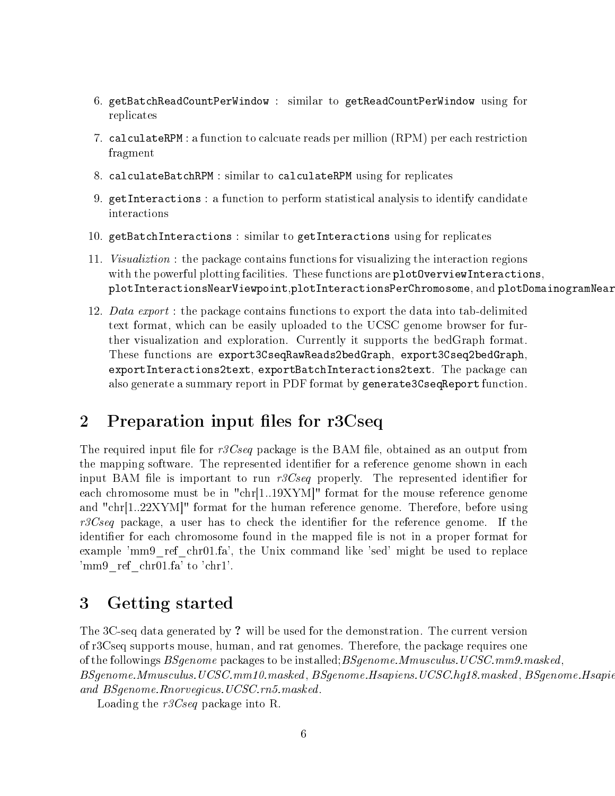- 6. getBatchReadCountPerWindow : similar to getReadCountPerWindow using for replicates
- 7. calculateRPM : a function to calcuate reads per million (RPM) per each restriction fragment
- 8. calculateBatchRPM : similar to calculateRPM using for replicates
- 9. getInteractions : a function to perform statistical analysis to identify candidate interactions
- 10. getBatchInteractions : similar to getInteractions using for replicates
- 11. Visualiztion : the package contains functions for visualizing the interaction regions with the powerful plotting facilities. These functions are plot0verviewInteractions, plotInteractionsNearViewpoint,plotInteractionsPerChromosome, and plotDomainogramNear
- 12. Data export : the package contains functions to export the data into tab-delimited text format, which can be easily uploaded to the UCSC genome browser for further visualization and exploration. Currently it supports the bedGraph format. These functions are export3CseqRawReads2bedGraph, export3Cseq2bedGraph, exportInteractions2text, exportBatchInteractions2text. The package can also generate a summary report in PDF format by generate3CseqReport function.

# <span id="page-5-0"></span>2 Preparation input files for r3Cseq

The required input file for  $r3Cseq$  package is the BAM file, obtained as an output from the mapping software. The represented identifier for a reference genome shown in each input BAM file is important to run  $r3Cseq$  properly. The represented identifier for each chromosome must be in "chr[1..19XYM]" format for the mouse reference genome and "chr[1..22XYM]" format for the human reference genome. Therefore, before using  $r3Cseq$  package, a user has to check the identifier for the reference genome. If the identifier for each chromosome found in the mapped file is not in a proper format for example 'mm9\_ref\_chr01.fa', the Unix command like 'sed' might be used to replace 'mm9\_ref\_chr01.fa' to 'chr1'.

# <span id="page-5-1"></span>3 Getting started

The 3C-seq data generated by ? will be used for the demonstration. The current version of r3Cseq supports mouse, human, and rat genomes. Therefore, the package requires one of the followings  $BSgenome$  packages to be installed;  $BSgenome. Mmusculus. UCSC. mm9. masked$ .  $BSgenome. Mmusculus. UCSC.mm10. masked, BSgenome. Haspiens. UCSC. hgl8. massed, BSgenome. Haspiel$ and BSgenome.Rnorvegicus.UCSC.rn5.masked.

Loading the r3Cseq package into R.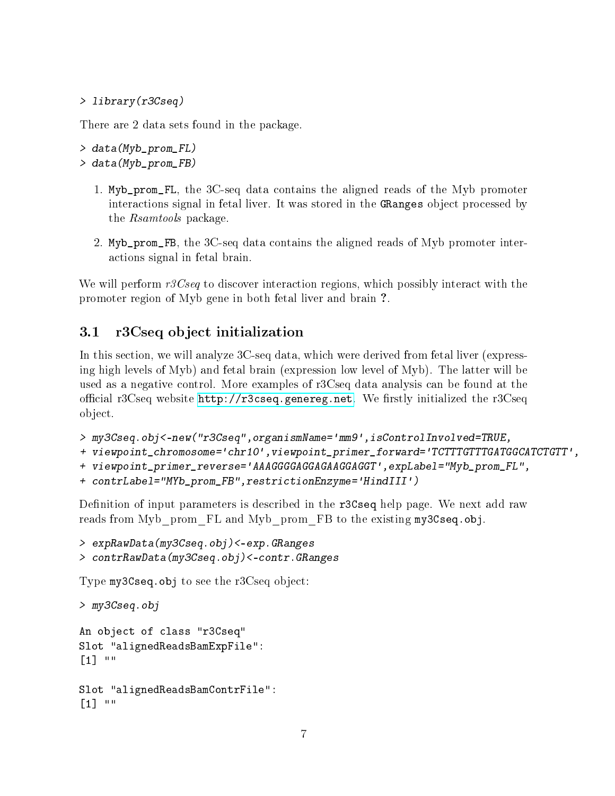```
> library(r3Cseq)
```
There are 2 data sets found in the package.

```
> data(Myb_prom_FL)
```
- > data(Myb\_prom\_FB)
	- 1. Myb\_prom\_FL, the 3C-seq data contains the aligned reads of the Myb promoter interactions signal in fetal liver. It was stored in the GRanges object processed by the Rsamtools package.
	- 2. Myb\_prom\_FB, the 3C-seq data contains the aligned reads of Myb promoter interactions signal in fetal brain.

We will perform  $r3Cseq$  to discover interaction regions, which possibly interact with the promoter region of Myb gene in both fetal liver and brain ?.

## <span id="page-6-0"></span>3.1 r3Cseq object initialization

In this section, we will analyze 3C-seq data, which were derived from fetal liver (expressing high levels of Myb) and fetal brain (expression low level of Myb). The latter will be used as a negative control. More examples of r3Cseq data analysis can be found at the official r3Cseq website  $http://r3cseq.genereg.net.$  We firstly initialized the r3Cseq object.

- > my3Cseq.obj<-new("r3Cseq",organismName='mm9',isControlInvolved=TRUE,
- + viewpoint\_chromosome='chr10',viewpoint\_primer\_forward='TCTTTGTTTGATGGCATCTGTT',
- + viewpoint\_primer\_reverse='AAAGGGGAGGAGAAGGAGGT',expLabel="Myb\_prom\_FL",

```
+ contrLabel="MYb_prom_FB",restrictionEnzyme='HindIII')
```
Definition of input parameters is described in the r3Cseq help page. We next add raw reads from Myb\_prom\_FL and Myb\_prom\_FB to the existing my3Cseq.obj.

```
> expRawData(my3Cseq.obj)<-exp.GRanges
> contrRawData(my3Cseq.obj)<-contr.GRanges
```
Type my3Cseq.obj to see the r3Cseq object:

> my3Cseq.obj

```
An object of class "r3Cseq"
Slot "alignedReadsBamExpFile":
[1] ""
```

```
Slot "alignedReadsBamContrFile":
[1] " ""
```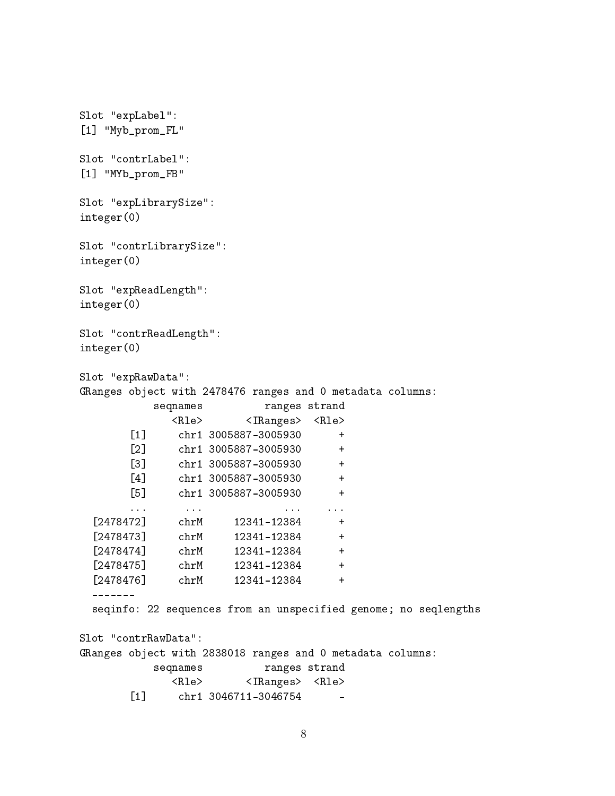Slot "expLabel": [1] "Myb\_prom\_FL" Slot "contrLabel": [1] "MYb\_prom\_FB" Slot "expLibrarySize": integer(0) Slot "contrLibrarySize": integer(0) Slot "expReadLength": integer(0) Slot "contrReadLength": integer(0) Slot "expRawData": GRanges object with 2478476 ranges and 0 metadata columns: seqnames ranges strand <Rle> <IRanges> <Rle> [1] chr1 3005887-3005930 + [2] chr1 3005887-3005930 + [3] chr1 3005887-3005930 + [4] chr1 3005887-3005930 + [5] chr1 3005887-3005930 + ... ... ... ...  $[2478472]$  chrM 12341-12384 + [2478473] chrM 12341-12384 + [2478474] chrM 12341-12384 + [2478475] chrM 12341-12384 + [2478476] chrM 12341-12384 + ------ seqinfo: 22 sequences from an unspecified genome; no seqlengths Slot "contrRawData": GRanges object with 2838018 ranges and 0 metadata columns: seqnames ranges strand <Rle> <IRanges> <Rle>  $[1]$  chr1 3046711-3046754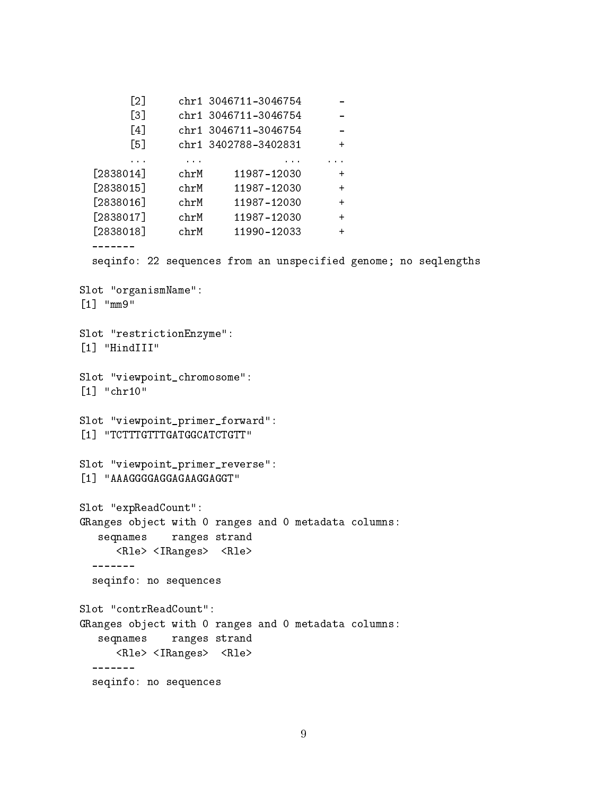[2] chr1 3046711-3046754 - [3] chr1 3046711-3046754 -[4] chr1 3046711-3046754 -[5] chr1 3402788-3402831 + ... ... ... ... [2838014] chrM 11987-12030 + [2838015] chrM 11987-12030 + [2838016] chrM 11987-12030 + [2838017] chrM 11987-12030 + [2838018] chrM 11990-12033 + ------ seqinfo: 22 sequences from an unspecified genome; no seqlengths Slot "organismName": [1] "mm9" Slot "restrictionEnzyme": [1] "HindIII" Slot "viewpoint\_chromosome": [1] "chr10" Slot "viewpoint\_primer\_forward": [1] "TCTTTGTTTGATGGCATCTGTT" Slot "viewpoint\_primer\_reverse": [1] "AAAGGGGAGGAGAAGGAGGT" Slot "expReadCount": GRanges object with 0 ranges and 0 metadata columns: seqnames ranges strand <Rle> <IRanges> <Rle> ------ seqinfo: no sequences Slot "contrReadCount": GRanges object with 0 ranges and 0 metadata columns: seqnames ranges strand <Rle> <IRanges> <Rle> ------ seqinfo: no sequences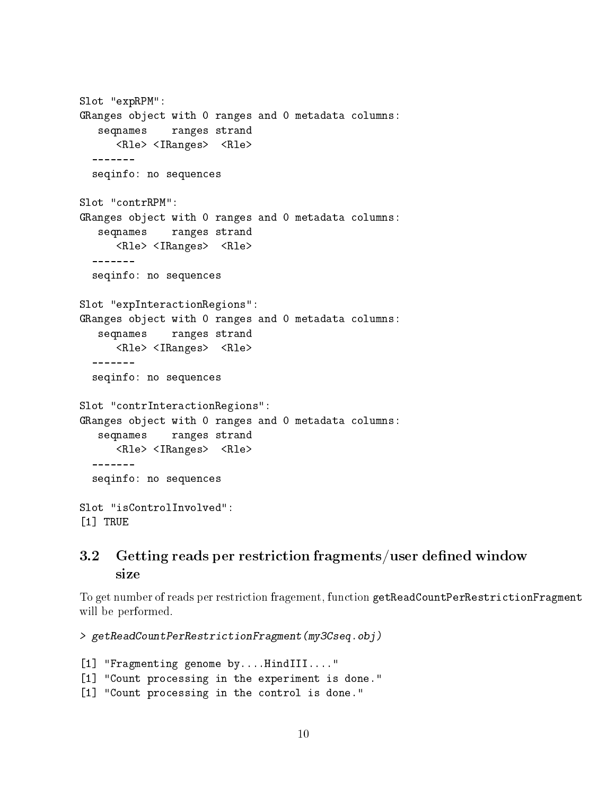```
Slot "expRPM":
GRanges object with 0 ranges and 0 metadata columns:
  seqnames ranges strand
     <Rle> <IRanges> <Rle>
 -------
 seqinfo: no sequences
Slot "contrRPM":
GRanges object with 0 ranges and 0 metadata columns:
  seqnames ranges strand
     <Rle> <IRanges> <Rle>
 -------
 seqinfo: no sequences
Slot "expInteractionRegions":
GRanges object with 0 ranges and 0 metadata columns:
  seqnames ranges strand
     <Rle> <IRanges> <Rle>
 -------
 seqinfo: no sequences
Slot "contrInteractionRegions":
GRanges object with 0 ranges and 0 metadata columns:
  seqnames ranges strand
     <Rle> <IRanges> <Rle>
 -------
 seqinfo: no sequences
Slot "isControlInvolved":
[1] TRUE
```
## <span id="page-9-0"></span>3.2 Getting reads per restriction fragments/user defined window size

To get number of reads per restriction fragement, function getReadCountPerRestrictionFragment will be performed.

> getReadCountPerRestrictionFragment(my3Cseq.obj)

[1] "Fragmenting genome by....HindIII...." [1] "Count processing in the experiment is done." [1] "Count processing in the control is done."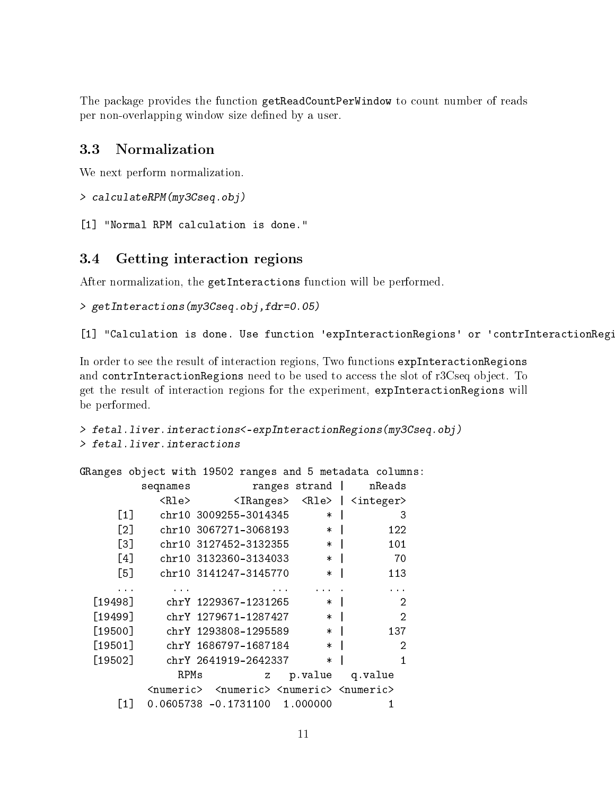The package provides the function getReadCountPerWindow to count number of reads per non-overlapping window size defined by a user.

### <span id="page-10-0"></span>3.3 Normalization

We next perform normalization.

```
> calculateRPM(my3Cseq.obj)
```
[1] "Normal RPM calculation is done."

### <span id="page-10-1"></span>3.4 Getting interaction regions

After normalization, the getInteractions function will be performed.

```
> getInteractions(my3Cseq.obj,fdr=0.05)
```
[1] "Calculation is done. Use function 'expInteractionRegions' or 'contrInteractionRegi

In order to see the result of interaction regions, Two functions expInteractionRegions and contrInteractionRegions need to be used to access the slot of r3Cseq object. To get the result of interaction regions for the experiment, expInteractionRegions will be performed.

```
> fetal.liver.interactions<-expInteractionRegions(my3Cseq.obj)
> fetal.liver.interactions
```

| GRanges object with 19502 ranges and 5 metadata columns: |  |      |                                                                                 |   |                   |  |                    |  |
|----------------------------------------------------------|--|------|---------------------------------------------------------------------------------|---|-------------------|--|--------------------|--|
|                                                          |  |      | seqnames ranges strand                                                          |   |                   |  | nReads             |  |
|                                                          |  |      | <rle> <iranges> <rle>  </rle></iranges></rle>                                   |   |                   |  | $\langle$ integer> |  |
| $\lceil 1 \rceil$                                        |  |      | chr10 3009255-3014345                                                           |   | $\ast$            |  | З                  |  |
| [2]                                                      |  |      | chr10 3067271-3068193                                                           |   | $\ast$            |  | 122                |  |
| $\lceil 3 \rceil$                                        |  |      | chr10 3127452-3132355                                                           |   | $\ast$            |  | 101                |  |
| [4]                                                      |  |      | chr10 3132360-3134033                                                           |   | $\ast$            |  | - 70               |  |
| $\lceil 5 \rceil$                                        |  |      | chr10 3141247-3145770                                                           |   | $\ast$            |  | 113                |  |
|                                                          |  |      |                                                                                 |   |                   |  |                    |  |
| [19498]                                                  |  |      | chrY 1229367-1231265                                                            |   | $\ast$            |  | 2                  |  |
| [19499]                                                  |  |      | chrY 1279671-1287427                                                            |   | $\ast$            |  | 2                  |  |
| [19500]                                                  |  |      | chrY 1293808-1295589                                                            |   | $\ast$            |  | 137                |  |
| [19501]                                                  |  |      | chrY 1686797-1687184                                                            |   | $\ast$            |  | 2                  |  |
| [19502]                                                  |  |      | chrY 2641919-2642337                                                            |   | $\ast$            |  | 1                  |  |
|                                                          |  | RPMs |                                                                                 | Ζ | p. value q. value |  |                    |  |
|                                                          |  |      | <numeric> <numeric> <numeric> <numeric></numeric></numeric></numeric></numeric> |   |                   |  |                    |  |
| [1]                                                      |  |      | $0.0605738 - 0.1731100 1.000000$                                                |   |                   |  |                    |  |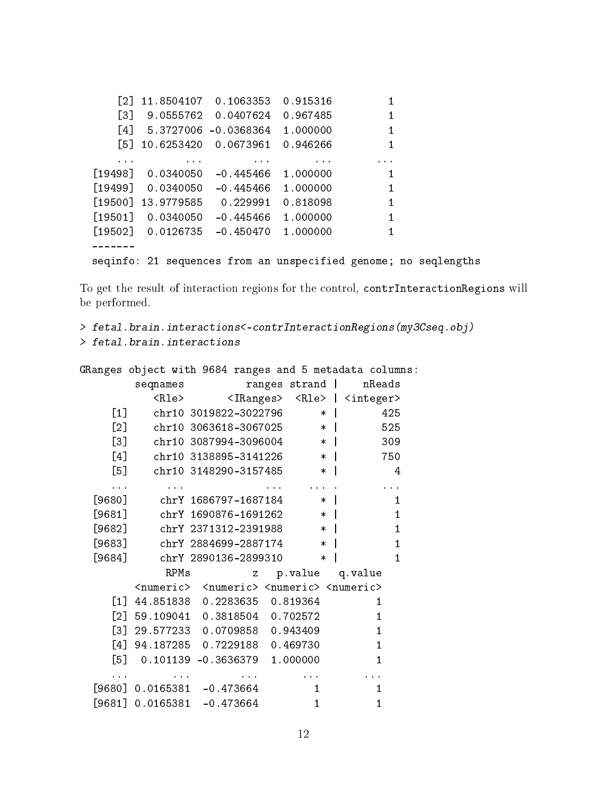```
[2] 11.8504107 0.1063353 0.915316 1
   [3] 9.0555762 0.0407624 0.967485 1
   [4] 5.3727006 -0.0368364 1.000000 1
   [5] 10.6253420 0.0673961 0.946266 1
   ... ... ... ... ...
[19498] 0.0340050 -0.445466 1.000000 1
[19499] 0.0340050 -0.445466 1.000000 1
[19500] 13.9779585 0.229991 0.818098 1
[19501] 0.0340050 -0.445466 1.000000 1
[19502] 0.0126735 -0.450470 1.000000 1
-------
seqinfo: 21 sequences from an unspecified genome; no seqlengths
```
To get the result of interaction regions for the control, contrInteractionRegions will be performed.

```
> fetal.brain.interactions<-contrInteractionRegions(my3Cseq.obj)
> fetal.brain.interactions
```

|                   | GRanges object with 9684 ranges and 5 metadata columns:                         |                                                                   |              |               |                                          |                 |                |
|-------------------|---------------------------------------------------------------------------------|-------------------------------------------------------------------|--------------|---------------|------------------------------------------|-----------------|----------------|
|                   | seqnames                                                                        |                                                                   |              | ranges strand |                                          |                 | nReads         |
|                   |                                                                                 | <rle> <iranges> <rle>   <integer></integer></rle></iranges></rle> |              |               |                                          |                 |                |
| $\left[1\right]$  |                                                                                 | chr10 3019822-3022796                                             |              |               | $\ast$                                   |                 | 425            |
| $\lceil 2 \rceil$ |                                                                                 | chr10 3063618-3067025                                             |              |               | $\ast$                                   |                 | 525            |
| $\left[3\right]$  |                                                                                 | chr10 3087994-3096004                                             |              |               | $\overline{\phantom{a}}$                 |                 | 309            |
|                   | [4]                                                                             | chr10 3138895-3141226                                             |              |               | $\ast$                                   |                 | 750            |
|                   | $\begin{bmatrix} 5 \end{bmatrix}$                                               | chr10 3148290-3157485                                             |              |               | $\ast$                                   |                 | 4              |
| $\cdots$          | $\sim$ $\sim$ $\sim$                                                            |                                                                   |              |               | <b><i>Committee Committee States</i></b> |                 | $\cdots$       |
|                   | $[9680]$ chrY 1686797-1687184                                                   |                                                                   |              |               | $\ast$                                   |                 | 1              |
| $[9681]$          | chrY 1690876-1691262                                                            |                                                                   |              |               | $\overline{\phantom{a}}$                 |                 | $\mathbf{1}$   |
|                   | [9682] chrY 2371312-2391988                                                     |                                                                   |              |               | $\ast$                                   |                 | $\mathbf{1}$   |
|                   | [9683] chrY 2884699-2887174 *                                                   |                                                                   |              |               |                                          |                 | $\mathbf{1}$   |
| $[9684]$          | chrY 2890136-2899310                                                            |                                                                   |              |               | $\ast$                                   |                 | $\overline{1}$ |
|                   | RPMs                                                                            |                                                                   | $\mathbf{z}$ |               |                                          | p.value q.value |                |
|                   | <numeric> <numeric> <numeric> <numeric></numeric></numeric></numeric></numeric> |                                                                   |              |               |                                          |                 |                |
|                   | $[1]$ 44.851838 0.2283635 0.819364                                              |                                                                   |              |               |                                          |                 | 1              |
|                   | $[2]$ 59.109041 0.3818504 0.702572                                              |                                                                   |              |               |                                          |                 | $\mathbf{1}$   |
|                   | $[3]$ 29.577233 0.0709858 0.943409                                              |                                                                   |              |               |                                          |                 | $\mathbf{1}$   |
|                   | [4] 94.187285 0.7229188 0.469730                                                |                                                                   |              |               |                                          |                 | $\mathbf{1}$   |
|                   | $[5]$ 0.101139 -0.3636379 1.000000                                              |                                                                   |              |               |                                          |                 | 1              |
|                   |                                                                                 |                                                                   |              |               |                                          |                 |                |
|                   | $[9680]$ 0.0165381 -0.473664                                                    |                                                                   |              |               | $\mathbf{1}$                             |                 | 1              |
|                   | $[9681]$ 0.0165381 -0.473664                                                    |                                                                   |              |               | 1                                        |                 | 1              |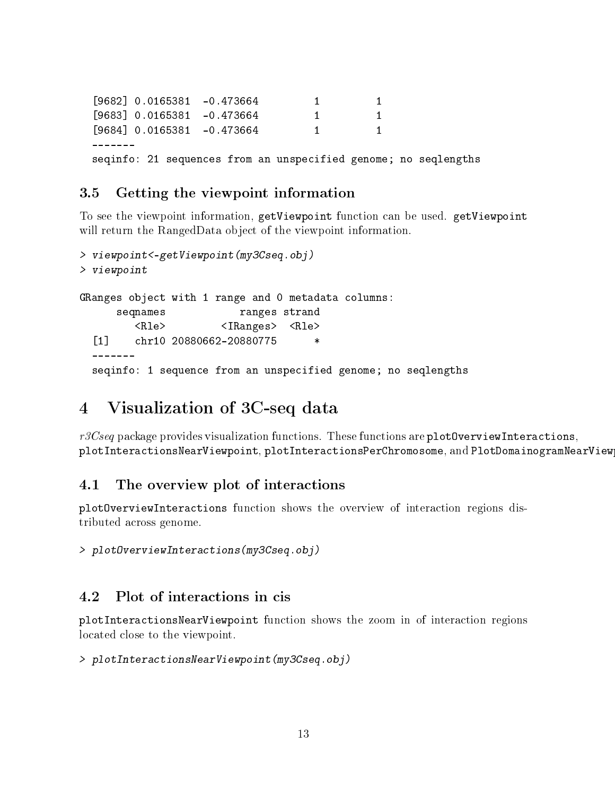[9682] 0.0165381 -0.473664 1 1 [9683] 0.0165381 -0.473664 1 1 [9684] 0.0165381 -0.473664 1 1 ------ seqinfo: 21 sequences from an unspecified genome; no seqlengths

### <span id="page-12-0"></span>3.5 Getting the viewpoint information

To see the viewpoint information, getViewpoint function can be used. getViewpoint will return the RangedData object of the viewpoint information.

```
> viewpoint<-getViewpoint(my3Cseq.obj)
> viewpoint
GRanges object with 1 range and 0 metadata columns:
     seqnames ranges strand
        <Rle> <IRanges> <Rle>
 [1] chr10 20880662-20880775 *
 -------
 seqinfo: 1 sequence from an unspecified genome; no seqlengths
```
# <span id="page-12-1"></span>4 Visualization of 3C-seq data

 $r3Cseq$  package provides visualization functions. These functions are plot0verviewInteractions, plotInteractionsNearViewpoint, plotInteractionsPerChromosome, and PlotDomainogramNearView

#### <span id="page-12-2"></span>4.1 The overview plot of interactions

plotOverviewInteractions function shows the overview of interaction regions distributed across genome.

> plotOverviewInteractions(my3Cseq.obj)

### <span id="page-12-3"></span>4.2 Plot of interactions in cis

plotInteractionsNearViewpoint function shows the zoom in of interaction regions located close to the viewpoint.

```
> plotInteractionsNearViewpoint(my3Cseq.obj)
```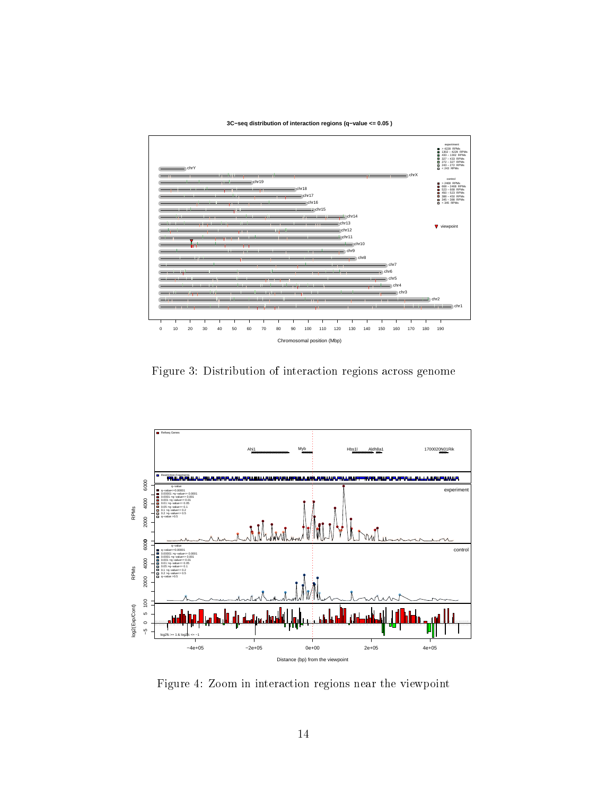#### **3C−seq distribution of interaction regions (q−value <= 0.05 )**



Figure 3: Distribution of interaction regions across genome



Figure 4: Zoom in interaction regions near the viewpoint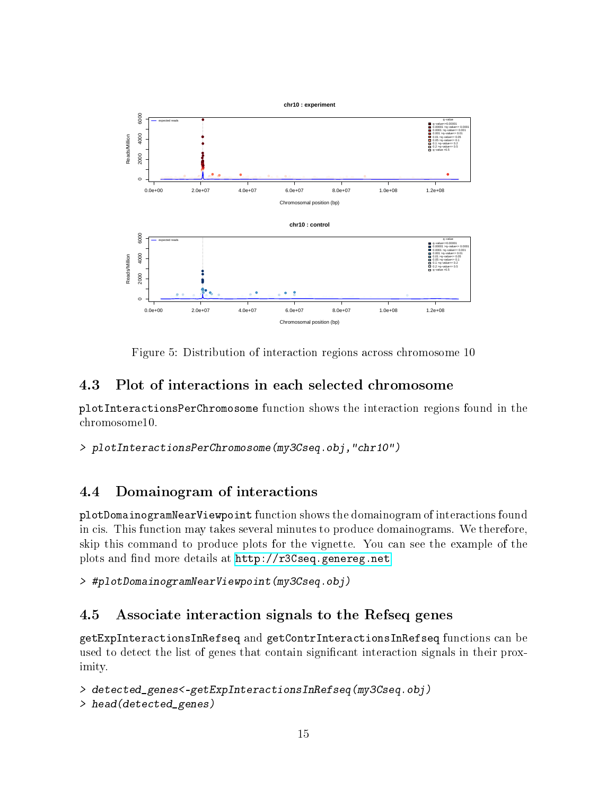

Figure 5: Distribution of interaction regions across chromosome 10

### <span id="page-14-0"></span>4.3 Plot of interactions in each selected chromosome

plotInteractionsPerChromosome function shows the interaction regions found in the chromosome10.

> plotInteractionsPerChromosome(my3Cseq.obj,"chr10")

### <span id="page-14-1"></span>4.4 Domainogram of interactions

plotDomainogramNearViewpoint function shows the domainogram of interactions found in cis. This function may takes several minutes to produce domainograms. We therefore, skip this command to produce plots for the vignette. You can see the example of the plots and find more details at [http://r3Cseq.genereg.net.](http://r3Cseq.genereg.net)

> #plotDomainogramNearViewpoint(my3Cseq.obj)

# <span id="page-14-2"></span>4.5 Associate interaction signals to the Refseq genes

getExpInteractionsInRefseq and getContrInteractionsInRefseq functions can be used to detect the list of genes that contain significant interaction signals in their proximity.

```
> detected_genes<-getExpInteractionsInRefseq(my3Cseq.obj)
> head(detected_genes)
```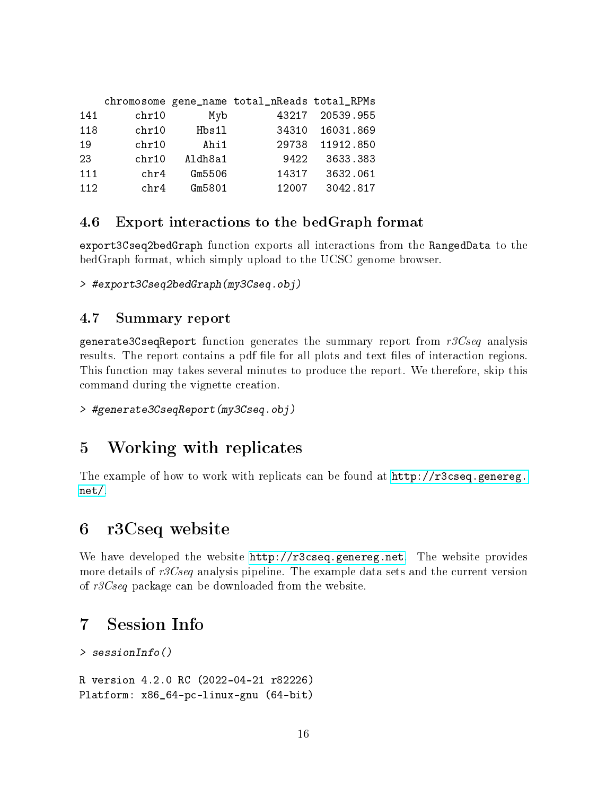|     |       |         | chromosome gene_name total_nReads total_RPMs |           |
|-----|-------|---------|----------------------------------------------|-----------|
| 141 | chr10 | Myb     | 43217                                        | 20539.955 |
| 118 | chr10 | Hbs11   | 34310                                        | 16031.869 |
| 19  | chr10 | Ahi1    | 29738                                        | 11912.850 |
| 23  | chr10 | Aldh8a1 | 9422                                         | 3633.383  |
| 111 | chr4  | Gm5506  | 14317                                        | 3632.061  |
| 112 | chr4  | Gm5801  | 12007                                        | 3042.817  |

### <span id="page-15-0"></span>4.6 Export interactions to the bedGraph format

export3Cseq2bedGraph function exports all interactions from the RangedData to the bedGraph format, which simply upload to the UCSC genome browser.

> #export3Cseq2bedGraph(my3Cseq.obj)

#### <span id="page-15-1"></span>4.7 Summary report

generate3CseqReport function generates the summary report from  $r3Cseq$  analysis results. The report contains a pdf file for all plots and text files of interaction regions. This function may takes several minutes to produce the report. We therefore, skip this command during the vignette creation.

```
> #generate3CseqReport(my3Cseq.obj)
```
# <span id="page-15-2"></span>5 Working with replicates

The example of how to work with replicats can be found at  $http://r3cseq.genereg.$ [net/.](http://r3cseq.genereg.net/)

# <span id="page-15-3"></span>6 r3Cseq website

We have developed the website [http://r3cseq.genereg.net.](http://r3cseq.genereg.net) The website provides more details of r3Cseq analysis pipeline. The example data sets and the current version of r3Cseq package can be downloaded from the website.

# <span id="page-15-4"></span>7 Session Info

```
> sessionInfo()
```
R version 4.2.0 RC (2022-04-21 r82226) Platform: x86\_64-pc-linux-gnu (64-bit)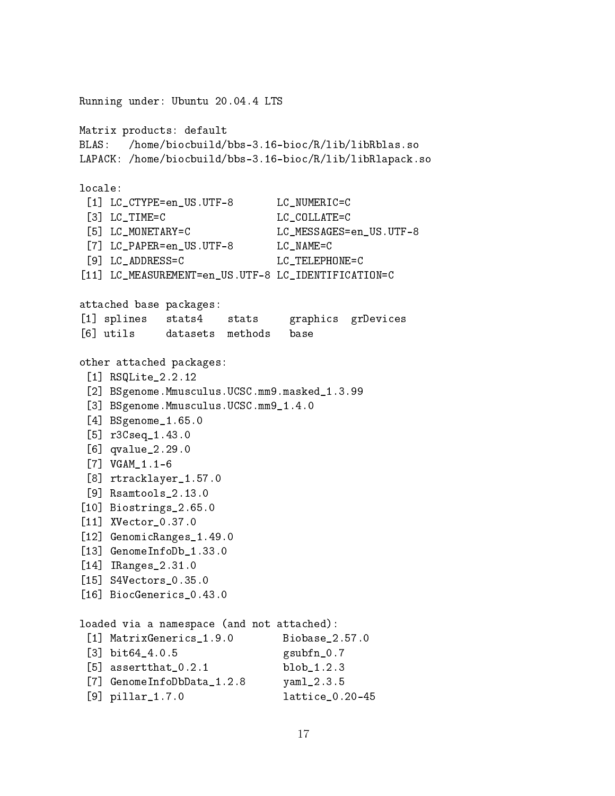Running under: Ubuntu 20.04.4 LTS Matrix products: default BLAS: /home/biocbuild/bbs-3.16-bioc/R/lib/libRblas.so LAPACK: /home/biocbuild/bbs-3.16-bioc/R/lib/libRlapack.so locale: [1] LC\_CTYPE=en\_US.UTF-8 LC\_NUMERIC=C [3] LC\_TIME=C LC\_COLLATE=C [5] LC\_MONETARY=C LC\_MESSAGES=en\_US.UTF-8 [7] LC\_PAPER=en\_US.UTF-8 LC\_NAME=C [9] LC\_ADDRESS=C LC\_TELEPHONE=C [11] LC\_MEASUREMENT=en\_US.UTF-8 LC\_IDENTIFICATION=C attached base packages: [1] splines stats4 stats graphics grDevices [6] utils datasets methods base other attached packages: [1] RSQLite\_2.2.12 [2] BSgenome.Mmusculus.UCSC.mm9.masked\_1.3.99 [3] BSgenome.Mmusculus.UCSC.mm9\_1.4.0 [4] BSgenome\_1.65.0 [5] r3Cseq\_1.43.0 [6] qvalue\_2.29.0 [7] VGAM\_1.1-6 [8] rtracklayer\_1.57.0 [9] Rsamtools\_2.13.0 [10] Biostrings\_2.65.0 [11] XVector\_0.37.0 [12] GenomicRanges\_1.49.0 [13] GenomeInfoDb\_1.33.0 [14] IRanges\_2.31.0 [15] S4Vectors\_0.35.0 [16] BiocGenerics\_0.43.0 loaded via a namespace (and not attached): [1] MatrixGenerics\_1.9.0 Biobase\_2.57.0 [3] bit64\_4.0.5 gsubfn\_0.7 [5] assertthat\_0.2.1 blob\_1.2.3 [7] GenomeInfoDbData\_1.2.8 yaml\_2.3.5 [9] pillar\_1.7.0 lattice\_0.20-45